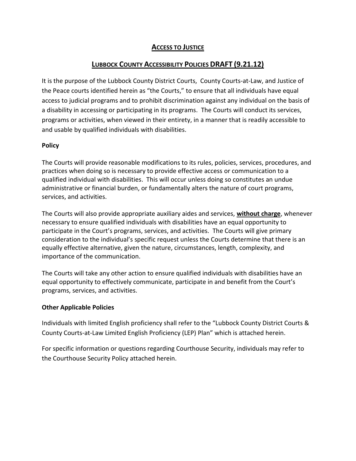# **ACCESS TO JUSTICE**

# **LUBBOCK COUNTY ACCESSIBILITY POLICIES DRAFT (9.21.12)**

It is the purpose of the Lubbock County District Courts, County Courts-at-Law, and Justice of the Peace courts identified herein as "the Courts," to ensure that all individuals have equal access to judicial programs and to prohibit discrimination against any individual on the basis of a disability in accessing or participating in its programs. The Courts will conduct its services, programs or activities, when viewed in their entirety, in a manner that is readily accessible to and usable by qualified individuals with disabilities.

## **Policy**

The Courts will provide reasonable modifications to its rules, policies, services, procedures, and practices when doing so is necessary to provide effective access or communication to a qualified individual with disabilities. This will occur unless doing so constitutes an undue administrative or financial burden, or fundamentally alters the nature of court programs, services, and activities.

The Courts will also provide appropriate auxiliary aides and services, **without charge**, whenever necessary to ensure qualified individuals with disabilities have an equal opportunity to participate in the Court's programs, services, and activities. The Courts will give primary consideration to the individual's specific request unless the Courts determine that there is an equally effective alternative, given the nature, circumstances, length, complexity, and importance of the communication.

The Courts will take any other action to ensure qualified individuals with disabilities have an equal opportunity to effectively communicate, participate in and benefit from the Court's programs, services, and activities.

## **Other Applicable Policies**

Individuals with limited English proficiency shall refer to the "Lubbock County District Courts & County Courts-at-Law Limited English Proficiency (LEP) Plan" which is attached herein.

For specific information or questions regarding Courthouse Security, individuals may refer to the Courthouse Security Policy attached herein.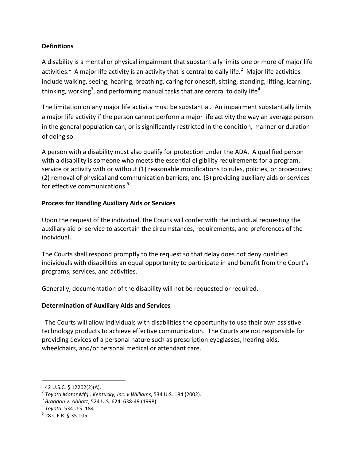## **Definitions**

A disability is a mental or physical impairment that substantially limits one or more of major life activities.<sup>1</sup> A major life activity is an activity that is central to daily life.<sup>2</sup> Major life activities include walking, seeing, hearing, breathing, caring for oneself, sitting, standing, lifting, learning, thinking, working<sup>3</sup>, and performing manual tasks that are central to daily life<sup>4</sup>.

The limitation on any major life activity must be substantial. An impairment substantially limits a major life activity if the person cannot perform a major life activity the way an average person in the general population can, or is significantly restricted in the condition, manner or duration of doing so.

A person with a disability must also qualify for protection under the ADA. A qualified person with a disability is someone who meets the essential eligibility requirements for a program, service or activity with or without (1) reasonable modifications to rules, policies, or procedures; (2) removal of physical and communication barriers; and (3) providing auxiliary aids or services for effective communications.<sup>5</sup>

## **Process for Handling Auxiliary Aids or Services**

Upon the request of the individual, the Courts will confer with the individual requesting the auxiliary aid or service to ascertain the circumstances, requirements, and preferences of the individual.

The Courts shall respond promptly to the request so that delay does not deny qualified individuals with disabilities an equal opportunity to participate in and benefit from the Court's programs, services, and activities.

Generally, documentation of the disability will not be requested or required.

## **Determination of Auxiliary Aids and Services**

 The Courts will allow individuals with disabilities the opportunity to use their own assistive technology products to achieve effective communication. The Courts are not responsible for providing devices of a personal nature such as prescription eyeglasses, hearing aids, wheelchairs, and/or personal medical or attendant care.

l

 $1$  42 U.S.C. § 12202(2)(A).

<sup>2</sup> *Toyota Motor Mfg., Kentucky, Inc. v Williams*, 534 U.S. 184 (2002).

<sup>3</sup> *Bragdon v. Abbott*, 524 U.S. 624, 638-49 (1998).

<sup>4</sup> *Toyota*, 534 U.S. 184.

 $^5$  28 C.F.R. § 35.105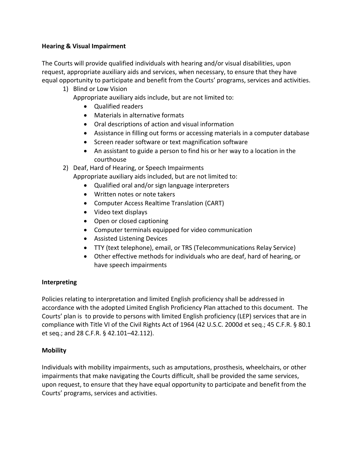## **Hearing & Visual Impairment**

The Courts will provide qualified individuals with hearing and/or visual disabilities, upon request, appropriate auxiliary aids and services, when necessary, to ensure that they have equal opportunity to participate and benefit from the Courts' programs, services and activities.

1) Blind or Low Vision

Appropriate auxiliary aids include, but are not limited to:

- Qualified readers
- Materials in alternative formats
- Oral descriptions of action and visual information
- Assistance in filling out forms or accessing materials in a computer database
- Screen reader software or text magnification software
- An assistant to guide a person to find his or her way to a location in the courthouse

2) Deaf, Hard of Hearing, or Speech Impairments

Appropriate auxiliary aids included, but are not limited to:

- Qualified oral and/or sign language interpreters
- Written notes or note takers
- Computer Access Realtime Translation (CART)
- Video text displays
- Open or closed captioning
- Computer terminals equipped for video communication
- Assisted Listening Devices
- TTY (text telephone), email, or TRS (Telecommunications Relay Service)
- Other effective methods for individuals who are deaf, hard of hearing, or have speech impairments

## **Interpreting**

Policies relating to interpretation and limited English proficiency shall be addressed in accordance with the adopted Limited English Proficiency Plan attached to this document. The Courts' plan is to provide to persons with limited English proficiency (LEP) services that are in compliance with Title VI of the Civil Rights Act of 1964 (42 U.S.C. 2000d et seq.; 45 C.F.R. § 80.1 et seq.; and 28 C.F.R. § 42.101–42.112).

## **Mobility**

Individuals with mobility impairments, such as amputations, prosthesis, wheelchairs, or other impairments that make navigating the Courts difficult, shall be provided the same services, upon request, to ensure that they have equal opportunity to participate and benefit from the Courts' programs, services and activities.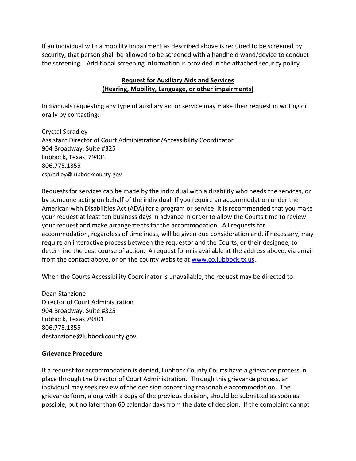If an individual with a mobility impairment as described above is required to be screened by security, that person shall be allowed to be screened with a handheld wand/device to conduct the screening. Additional screening information is provided in the attached security policy.

## **Request for Auxiliary Aids and Services (Hearing, Mobility, Language, or other impairments)**

Individuals requesting any type of auxiliary aid or service may make their request in writing or orally by contacting:

Cryctal Spradley Assistant Director of Court Administration/Accessibility Coordinator 904 Broadway, Suite #325 Lubbock, Texas 79401 806.775.1355 cspradley@lubbockcounty.gov

Requests for services can be made by the individual with a disability who needs the services, or by someone acting on behalf of the individual. If you require an accommodation under the American with Disabilities Act (ADA) for a program or service, it is recommended that you make your request at least ten business days in advance in order to allow the Courts time to review your request and make arrangements for the accommodation. All requests for accommodation, regardless of timeliness, will be given due consideration and, if necessary, may require an interactive process between the requestor and the Courts, or their designee, to determine the best course of action. A request form is available at the address above, via email from the contact above, or on the county website at [www.co.lubbock.tx.us.](http://www.co.lubbock.tx.us/)

When the Courts Accessibility Coordinator is unavailable, the request may be directed to:

Dean Stanzione Director of Court Administration 904 Broadway, Suite #325 Lubbock, Texas 79401 806.775.1355 destanzione@lubbockcounty.gov

#### **Grievance Procedure**

If a request for accommodation is denied, Lubbock County Courts have a grievance process in place through the Director of Court Administration. Through this grievance process, an individual may seek review of the decision concerning reasonable accommodation. The grievance form, along with a copy of the previous decision, should be submitted as soon as possible, but no later than 60 calendar days from the date of decision. If the complaint cannot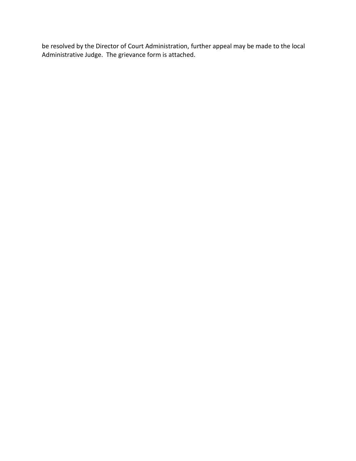be resolved by the Director of Court Administration, further appeal may be made to the local Administrative Judge. The grievance form is attached.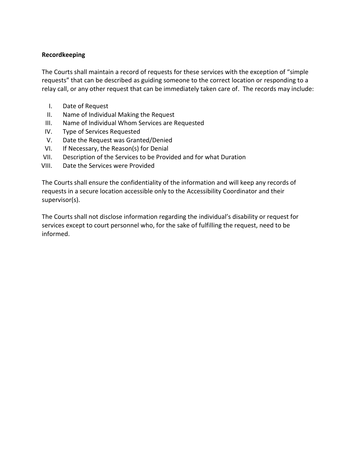#### **Recordkeeping**

The Courts shall maintain a record of requests for these services with the exception of "simple requests" that can be described as guiding someone to the correct location or responding to a relay call, or any other request that can be immediately taken care of. The records may include:

- I. Date of Request
- II. Name of Individual Making the Request
- III. Name of Individual Whom Services are Requested
- IV. Type of Services Requested
- V. Date the Request was Granted/Denied
- VI. If Necessary, the Reason(s) for Denial
- VII. Description of the Services to be Provided and for what Duration
- VIII. Date the Services were Provided

The Courts shall ensure the confidentiality of the information and will keep any records of requests in a secure location accessible only to the Accessibility Coordinator and their supervisor(s).

The Courts shall not disclose information regarding the individual's disability or request for services except to court personnel who, for the sake of fulfilling the request, need to be informed.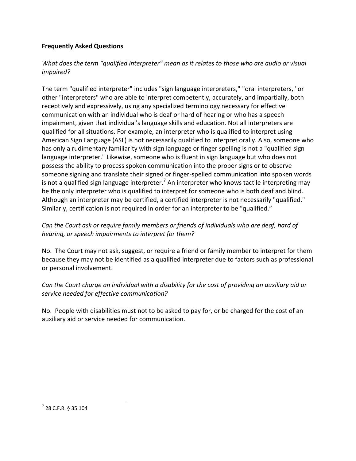## **Frequently Asked Questions**

# *What does the term "qualified interpreter" mean as it relates to those who are audio or visual impaired?*

The term "qualified interpreter" includes "sign language interpreters," "oral interpreters," or other "interpreters" who are able to interpret competently, accurately, and impartially, both receptively and expressively, using any specialized terminology necessary for effective communication with an individual who is deaf or hard of hearing or who has a speech impairment, given that individual's language skills and education. Not all interpreters are qualified for all situations. For example, an interpreter who is qualified to interpret using American Sign Language (ASL) is not necessarily qualified to interpret orally. Also, someone who has only a rudimentary familiarity with sign language or finger spelling is not a "qualified sign language interpreter." Likewise, someone who is fluent in sign language but who does not possess the ability to process spoken communication into the proper signs or to observe someone signing and translate their signed or finger-spelled communication into spoken words is not a qualified sign language interpreter.<sup>7</sup> An interpreter who knows tactile interpreting may be the only interpreter who is qualified to interpret for someone who is both deaf and blind. Although an interpreter may be certified, a certified interpreter is not necessarily "qualified." Similarly, certification is not required in order for an interpreter to be "qualified."

# *Can the Court ask or require family members or friends of individuals who are deaf, hard of hearing, or speech impairments to interpret for them?*

No. The Court may not ask, suggest, or require a friend or family member to interpret for them because they may not be identified as a qualified interpreter due to factors such as professional or personal involvement.

# *Can the Court charge an individual with a disability for the cost of providing an auxiliary aid or service needed for effective communication?*

No. People with disabilities must not to be asked to pay for, or be charged for the cost of an auxiliary aid or service needed for communication.

 $\overline{\phantom{a}}$ 

 $^{7}$  28 C.F.R. § 35.104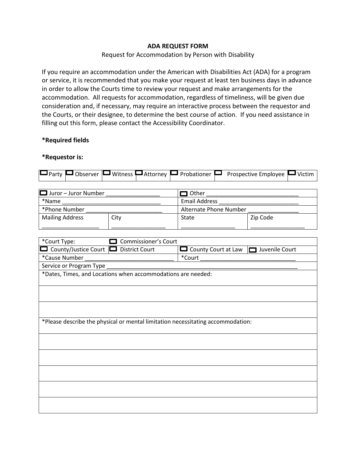#### **ADA REQUEST FORM**

#### Request for Accommodation by Person with Disability

If you require an accommodation under the American with Disabilities Act (ADA) for a program or service, it is recommended that you make your request at least ten business days in advance in order to allow the Courts time to review your request and make arrangements for the accommodation. All requests for accommodation, regardless of timeliness, will be given due consideration and, if necessary, may require an interactive process between the requestor and the Courts, or their designee, to determine the best course of action. If you need assistance in filling out this form, please contact the Accessibility Coordinator.

#### **\*Required fields**

#### **\*Requestor is:**

|  | □ Party □ Observer □ Witness □ Attorney □ Probationer □ Prospective Employee □ Victim |
|--|---------------------------------------------------------------------------------------|
|--|---------------------------------------------------------------------------------------|

| $\Box$ Juror – Juror Number |      | 1 Other                |          |  |
|-----------------------------|------|------------------------|----------|--|
| *Name                       |      | <b>Email Address</b>   |          |  |
| *Phone Number               |      | Alternate Phone Number |          |  |
| <b>Mailing Address</b>      | City | State                  | Zip Code |  |

| *Court Type:<br><b>Commissioner's Court</b>                                     |                                                           |  |  |  |  |
|---------------------------------------------------------------------------------|-----------------------------------------------------------|--|--|--|--|
| County/Justice Court □ District Court                                           | $\Box$ County Court at Law<br>Juvenile Court<br><b>In</b> |  |  |  |  |
| *Cause Number                                                                   | *Court                                                    |  |  |  |  |
| Service or Program Type                                                         |                                                           |  |  |  |  |
| *Dates, Times, and Locations when accommodations are needed:                    |                                                           |  |  |  |  |
|                                                                                 |                                                           |  |  |  |  |
|                                                                                 |                                                           |  |  |  |  |
|                                                                                 |                                                           |  |  |  |  |
|                                                                                 |                                                           |  |  |  |  |
|                                                                                 |                                                           |  |  |  |  |
| *Please describe the physical or mental limitation necessitating accommodation: |                                                           |  |  |  |  |
|                                                                                 |                                                           |  |  |  |  |
|                                                                                 |                                                           |  |  |  |  |
|                                                                                 |                                                           |  |  |  |  |
|                                                                                 |                                                           |  |  |  |  |
|                                                                                 |                                                           |  |  |  |  |
|                                                                                 |                                                           |  |  |  |  |
|                                                                                 |                                                           |  |  |  |  |
|                                                                                 |                                                           |  |  |  |  |
|                                                                                 |                                                           |  |  |  |  |
|                                                                                 |                                                           |  |  |  |  |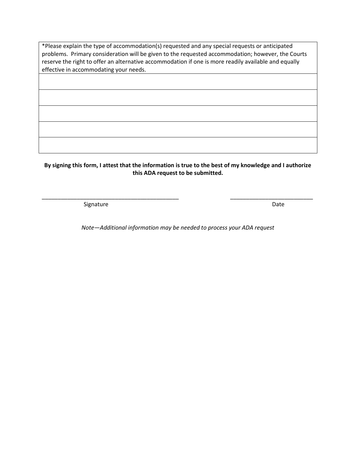\*Please explain the type of accommodation(s) requested and any special requests or anticipated problems. Primary consideration will be given to the requested accommodation; however, the Courts reserve the right to offer an alternative accommodation if one is more readily available and equally effective in accommodating your needs.

**By signing this form, I attest that the information is true to the best of my knowledge and I authorize this ADA request to be submitted.** 

\_\_\_\_\_\_\_\_\_\_\_\_\_\_\_\_\_\_\_\_\_\_\_\_\_\_\_\_\_\_\_\_\_\_\_\_\_\_\_\_\_\_\_ \_\_\_\_\_\_\_\_\_\_\_\_\_\_\_\_\_\_\_\_\_\_\_\_\_\_

Signature Date

*Note—Additional information may be needed to process your ADA request*